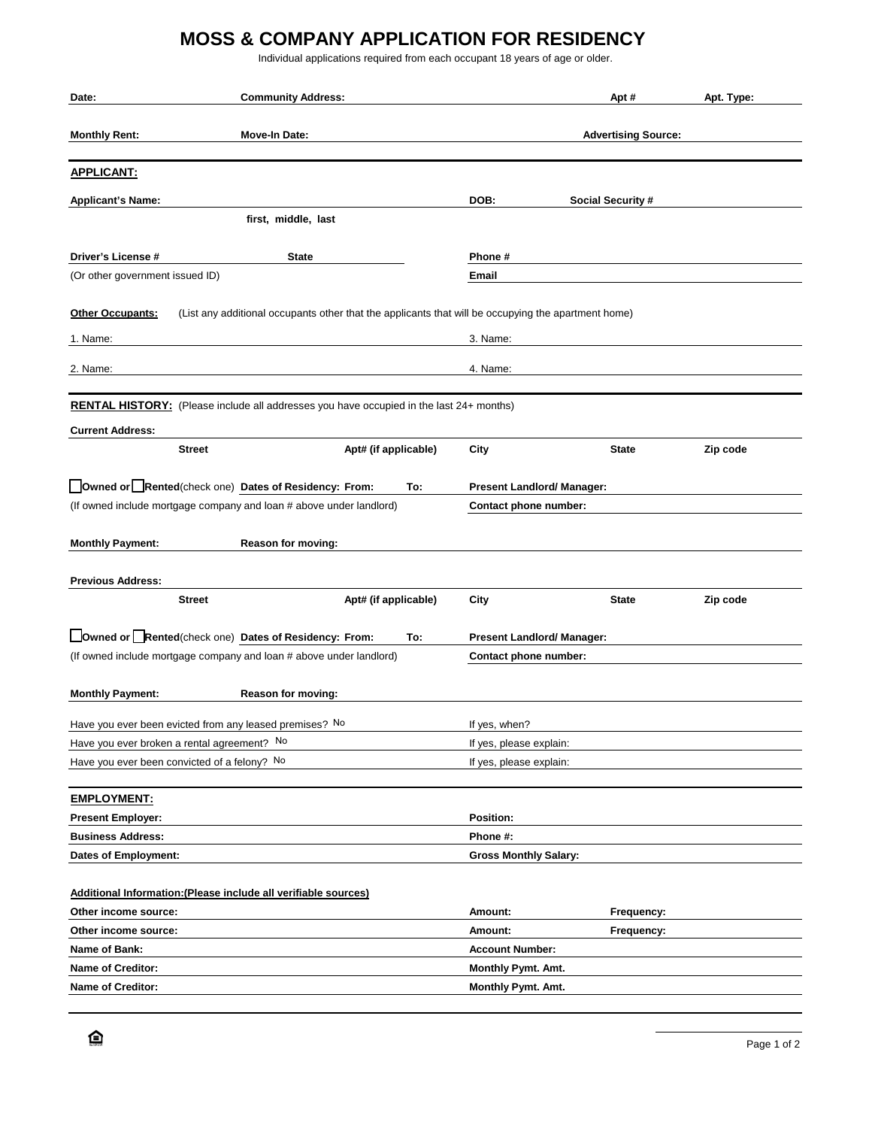## **MOSS & COMPANY APPLICATION FOR RESIDENCY**

Individual applications required from each occupant 18 years of age or older.

| Date:                                                                                                                                                    | <b>Community Address:</b>                                                                      |                                                                                                     |                                                            | Apt #                      | Apt. Type: |  |
|----------------------------------------------------------------------------------------------------------------------------------------------------------|------------------------------------------------------------------------------------------------|-----------------------------------------------------------------------------------------------------|------------------------------------------------------------|----------------------------|------------|--|
| <b>Monthly Rent:</b>                                                                                                                                     | Move-In Date:                                                                                  |                                                                                                     |                                                            | <b>Advertising Source:</b> |            |  |
|                                                                                                                                                          |                                                                                                |                                                                                                     |                                                            |                            |            |  |
| <b>APPLICANT:</b>                                                                                                                                        |                                                                                                |                                                                                                     |                                                            |                            |            |  |
| <b>Applicant's Name:</b>                                                                                                                                 |                                                                                                |                                                                                                     | DOB:                                                       | <b>Social Security #</b>   |            |  |
|                                                                                                                                                          | first, middle, last                                                                            |                                                                                                     |                                                            |                            |            |  |
|                                                                                                                                                          |                                                                                                |                                                                                                     |                                                            |                            |            |  |
| Driver's License #                                                                                                                                       | <b>State</b>                                                                                   |                                                                                                     | Phone#                                                     |                            |            |  |
| (Or other government issued ID)                                                                                                                          |                                                                                                |                                                                                                     | Email                                                      |                            |            |  |
| <b>Other Occupants:</b>                                                                                                                                  |                                                                                                | (List any additional occupants other that the applicants that will be occupying the apartment home) |                                                            |                            |            |  |
| 1. Name:                                                                                                                                                 |                                                                                                |                                                                                                     | 3. Name:                                                   |                            |            |  |
|                                                                                                                                                          |                                                                                                |                                                                                                     |                                                            |                            |            |  |
| 2. Name:                                                                                                                                                 |                                                                                                |                                                                                                     | 4. Name:                                                   |                            |            |  |
|                                                                                                                                                          | <b>RENTAL HISTORY:</b> (Please include all addresses you have occupied in the last 24+ months) |                                                                                                     |                                                            |                            |            |  |
|                                                                                                                                                          |                                                                                                |                                                                                                     |                                                            |                            |            |  |
| <b>Current Address:</b>                                                                                                                                  | <b>Street</b>                                                                                  | Apt# (if applicable)                                                                                | City                                                       | <b>State</b>               | Zip code   |  |
|                                                                                                                                                          |                                                                                                |                                                                                                     |                                                            |                            |            |  |
|                                                                                                                                                          | Owned or Rented(check one) Dates of Residency: From:                                           | To:                                                                                                 | <b>Present Landlord/ Manager:</b>                          |                            |            |  |
|                                                                                                                                                          | (If owned include mortgage company and loan # above under landlord)                            |                                                                                                     | Contact phone number:                                      |                            |            |  |
|                                                                                                                                                          |                                                                                                |                                                                                                     |                                                            |                            |            |  |
| <b>Monthly Payment:</b>                                                                                                                                  | Reason for moving:                                                                             |                                                                                                     |                                                            |                            |            |  |
| <b>Previous Address:</b>                                                                                                                                 |                                                                                                |                                                                                                     |                                                            |                            |            |  |
|                                                                                                                                                          | <b>Street</b>                                                                                  | Apt# (if applicable)                                                                                | City                                                       | <b>State</b>               | Zip code   |  |
|                                                                                                                                                          |                                                                                                |                                                                                                     |                                                            |                            |            |  |
| Owned or Rented(check one) Dates of Residency: From:<br>To:<br>(If owned include mortgage company and loan # above under landlord)                       |                                                                                                |                                                                                                     | <b>Present Landlord/ Manager:</b><br>Contact phone number: |                            |            |  |
|                                                                                                                                                          |                                                                                                |                                                                                                     |                                                            |                            |            |  |
| <b>Monthly Payment:</b>                                                                                                                                  | Reason for moving:                                                                             |                                                                                                     |                                                            |                            |            |  |
|                                                                                                                                                          |                                                                                                |                                                                                                     | If yes, when?                                              |                            |            |  |
|                                                                                                                                                          |                                                                                                |                                                                                                     | If yes, please explain:                                    |                            |            |  |
| Have you ever been evicted from any leased premises? No<br>Have you ever broken a rental agreement? No<br>Have you ever been convicted of a felony? No   |                                                                                                |                                                                                                     | If yes, please explain:                                    |                            |            |  |
|                                                                                                                                                          |                                                                                                |                                                                                                     |                                                            |                            |            |  |
| <b>EMPLOYMENT:</b>                                                                                                                                       |                                                                                                |                                                                                                     |                                                            |                            |            |  |
| <b>Present Employer:</b>                                                                                                                                 |                                                                                                |                                                                                                     | Position:                                                  |                            |            |  |
| <b>Business Address:</b>                                                                                                                                 |                                                                                                |                                                                                                     | Phone #:                                                   |                            |            |  |
|                                                                                                                                                          |                                                                                                |                                                                                                     | <b>Gross Monthly Salary:</b>                               |                            |            |  |
|                                                                                                                                                          |                                                                                                |                                                                                                     |                                                            |                            |            |  |
|                                                                                                                                                          |                                                                                                |                                                                                                     | Amount:                                                    | Frequency:                 |            |  |
|                                                                                                                                                          |                                                                                                |                                                                                                     | Amount:                                                    | Frequency:                 |            |  |
| Dates of Employment:<br>Additional Information: (Please include all verifiable sources)<br>Other income source:<br>Other income source:<br>Name of Bank: |                                                                                                | <b>Account Number:</b>                                                                              |                                                            |                            |            |  |
| <b>Name of Creditor:</b>                                                                                                                                 |                                                                                                |                                                                                                     | Monthly Pymt. Amt.                                         |                            |            |  |
| <b>Name of Creditor:</b>                                                                                                                                 |                                                                                                |                                                                                                     | Monthly Pymt. Amt.                                         |                            |            |  |